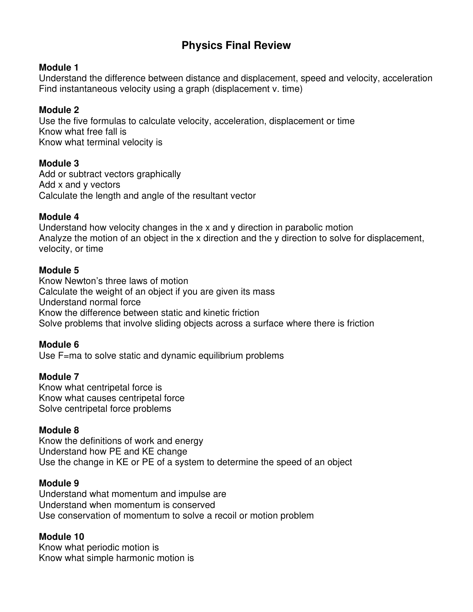# **Physics Final Review**

### **Module 1**

Understand the difference between distance and displacement, speed and velocity, acceleration Find instantaneous velocity using a graph (displacement v. time)

### **Module 2**

Use the five formulas to calculate velocity, acceleration, displacement or time Know what free fall is Know what terminal velocity is

# **Module 3**

Add or subtract vectors graphically Add x and y vectors Calculate the length and angle of the resultant vector

# **Module 4**

Understand how velocity changes in the x and y direction in parabolic motion Analyze the motion of an object in the x direction and the y direction to solve for displacement, velocity, or time

### **Module 5**

Know Newton's three laws of motion Calculate the weight of an object if you are given its mass Understand normal force Know the difference between static and kinetic friction Solve problems that involve sliding objects across a surface where there is friction

### **Module 6**

Use F=ma to solve static and dynamic equilibrium problems

# **Module 7**

Know what centripetal force is Know what causes centripetal force Solve centripetal force problems

### **Module 8**

Know the definitions of work and energy Understand how PE and KE change Use the change in KE or PE of a system to determine the speed of an object

# **Module 9**

Understand what momentum and impulse are Understand when momentum is conserved Use conservation of momentum to solve a recoil or motion problem

### **Module 10**

Know what periodic motion is Know what simple harmonic motion is